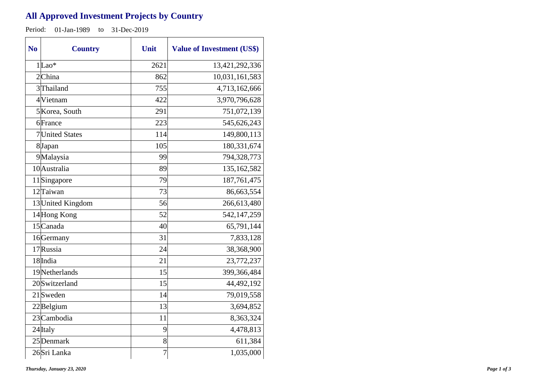## **All Approved Investment Projects by Country**

Period: 01-Jan-1989 to 31-Dec-2019

| N <sub>0</sub> | <b>Country</b>    | Unit           | <b>Value of Investment (US\$)</b> |
|----------------|-------------------|----------------|-----------------------------------|
|                | $1 $ Lao*         | 2621           | 13,421,292,336                    |
|                | $2$ China         | 862            | 10,031,161,583                    |
|                | 3 Thailand        | 755            | 4,713,162,666                     |
|                | 4 Vietnam         | 422            | 3,970,796,628                     |
|                | 5 Korea, South    | 291            | 751,072,139                       |
|                | 6France           | 223            | 545,626,243                       |
|                | 7 United States   | 114            | 149,800,113                       |
|                | 8Japan            | 105            | 180,331,674                       |
|                | 9Malaysia         | 99             | 794,328,773                       |
|                | 10 Australia      | 89             | 135,162,582                       |
|                | 11Singapore       | 79             | 187,761,475                       |
|                | 12Taiwan          | 73             | 86,663,554                        |
|                | 13 United Kingdom | 56             | 266,613,480                       |
|                | 14 Hong Kong      | 52             | 542,147,259                       |
|                | $15$ Canada       | 40             | 65,791,144                        |
|                | 16 Germany        | 31             | 7,833,128                         |
|                | 17 Russia         | 24             | 38,368,900                        |
|                | 18 India          | 21             | 23,772,237                        |
|                | 19Netherlands     | 15             | 399,366,484                       |
|                | 20 Switzerland    | 15             | 44,492,192                        |
|                | $21$ Sweden       | 14             | 79,019,558                        |
|                | $22$ Belgium      | 13             | 3,694,852                         |
|                | 23 Cambodia       | 11             | 8,363,324                         |
|                | 24 Italy          | 9              | 4,478,813                         |
|                | 25 Denmark        | 8              | 611,384                           |
|                | 26Sri Lanka       | $\overline{7}$ | 1,035,000                         |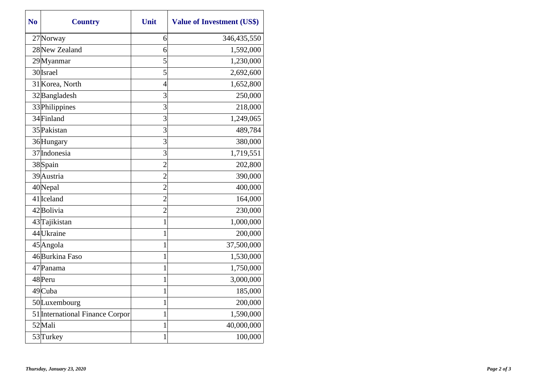| N <sub>0</sub> | <b>Country</b>                  | Unit           | <b>Value of Investment (US\$)</b> |
|----------------|---------------------------------|----------------|-----------------------------------|
|                | 27 Norway                       | 6              | 346,435,550                       |
|                | 28 New Zealand                  | 6              | 1,592,000                         |
|                | 29Myanmar                       | 5              | 1,230,000                         |
|                | 30 Israel                       | 5              | 2,692,600                         |
|                | 31 Korea, North                 | $\overline{4}$ | 1,652,800                         |
|                | 32 Bangladesh                   | 3              | 250,000                           |
|                | 33 Philippines                  | 3              | 218,000                           |
|                | 34 Finland                      | 3              | 1,249,065                         |
|                | 35 Pakistan                     | 3              | 489,784                           |
|                | 36 Hungary                      | 3              | 380,000                           |
|                | 37 Indonesia                    | 3              | 1,719,551                         |
|                | 38Spain                         | $\overline{2}$ | 202,800                           |
|                | 39 Austria                      | $\overline{2}$ | 390,000                           |
|                | 40Nepal                         | $\overline{2}$ | 400,000                           |
|                | $41$  Iceland                   | $\overline{2}$ | 164,000                           |
|                | 42Bolivia                       | $\overline{2}$ | 230,000                           |
|                | 43 Tajikistan                   | $\mathbf{1}$   | 1,000,000                         |
|                | 44 Ukraine                      | 1              | 200,000                           |
|                | 45 Angola                       | 1              | 37,500,000                        |
|                | 46 Burkina Faso                 | $\mathbf{1}$   | 1,530,000                         |
|                | 47 Panama                       | 1              | 1,750,000                         |
|                | 48 Peru                         | 1              | 3,000,000                         |
|                | 49 Cuba                         | 1              | 185,000                           |
|                | 50Luxembourg                    | 1              | 200,000                           |
|                | 51 International Finance Corpor | 1              | 1,590,000                         |
|                | 52Mali                          | $\mathbf{1}$   | 40,000,000                        |
|                | 53 Turkey                       | 1              | 100,000                           |